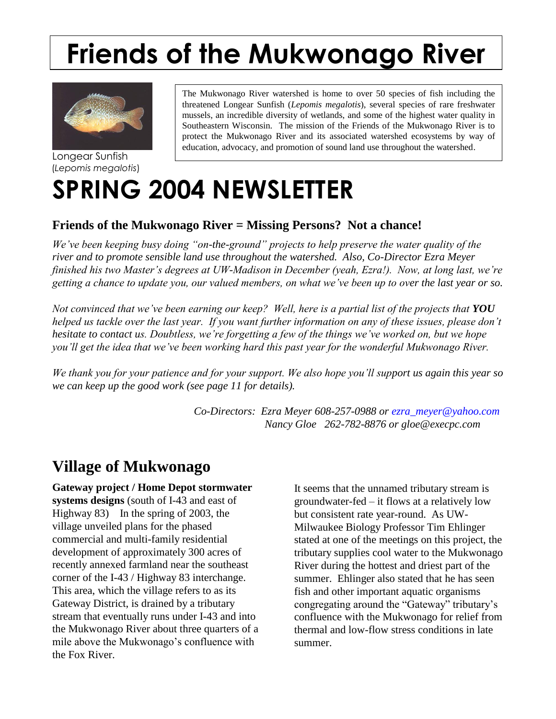# **Friends of the Mukwonago River**



Longear Sunfish (*Lepomis megalotis*)

The Mukwonago River watershed is home to over 50 species of fish including the threatened Longear Sunfish (*Lepomis megalotis*), several species of rare freshwater mussels, an incredible diversity of wetlands, and some of the highest water quality in Southeastern Wisconsin. The mission of the Friends of the Mukwonago River is to protect the Mukwonago River and its associated watershed ecosystems by way of education, advocacy, and promotion of sound land use throughout the watershed.

## **SPRING 2004 NEWSLETTER**

#### **Friends of the Mukwonago River = Missing Persons? Not a chance!**

*We've been keeping busy doing "on-the-ground" projects to help preserve the water quality of the river and to promote sensible land use throughout the watershed. Also, Co-Director Ezra Meyer finished his two Master's degrees at UW-Madison in December (yeah, Ezra!). Now, at long last, we're getting a chance to update you, our valued members, on what we've been up to over the last year or so.*

*Not convinced that we've been earning our keep? Well, here is a partial list of the projects that YOU helped us tackle over the last year. If you want further information on any of these issues, please don't hesitate to contact us. Doubtless, we're forgetting a few of the things we've worked on, but we hope you'll get the idea that we've been working hard this past year for the wonderful Mukwonago River.*

*We thank you for your patience and for your support. We also hope you'll support us again this year so we can keep up the good work (see page 11 for details).*

> *Co-Directors: Ezra Meyer 608-257-0988 or [ezra\\_meyer@yahoo.com](mailto:ezra_meyer@yahoo.com) Nancy Gloe 262-782-8876 or gloe@execpc.com*

### **Village of Mukwonago**

**Gateway project / Home Depot stormwater systems designs** (south of I-43 and east of Highway 83) In the spring of 2003, the village unveiled plans for the phased commercial and multi-family residential development of approximately 300 acres of recently annexed farmland near the southeast corner of the I-43 / Highway 83 interchange. This area, which the village refers to as its Gateway District, is drained by a tributary stream that eventually runs under I-43 and into the Mukwonago River about three quarters of a mile above the Mukwonago's confluence with the Fox River.

It seems that the unnamed tributary stream is groundwater-fed – it flows at a relatively low but consistent rate year-round. As UW-Milwaukee Biology Professor Tim Ehlinger stated at one of the meetings on this project, the tributary supplies cool water to the Mukwonago River during the hottest and driest part of the summer. Ehlinger also stated that he has seen fish and other important aquatic organisms congregating around the "Gateway" tributary's confluence with the Mukwonago for relief from thermal and low-flow stress conditions in late summer.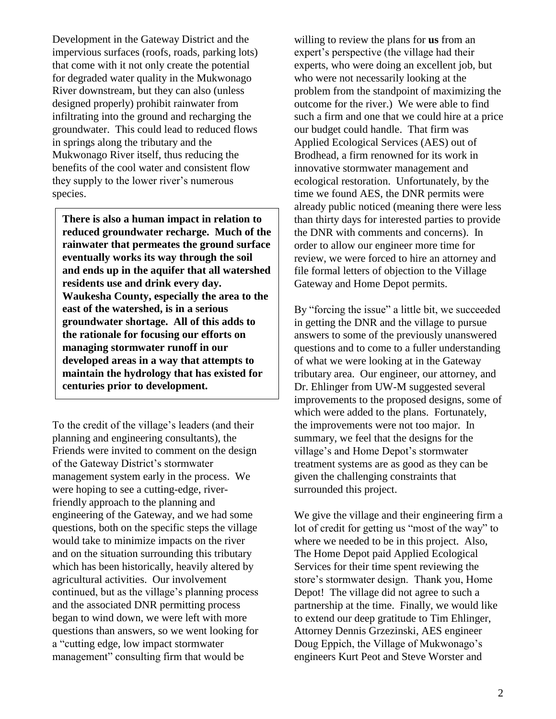Development in the Gateway District and the impervious surfaces (roofs, roads, parking lots) that come with it not only create the potential for degraded water quality in the Mukwonago River downstream, but they can also (unless designed properly) prohibit rainwater from infiltrating into the ground and recharging the groundwater. This could lead to reduced flows in springs along the tributary and the Mukwonago River itself, thus reducing the benefits of the cool water and consistent flow they supply to the lower river's numerous species.

**There is also a human impact in relation to reduced groundwater recharge. Much of the rainwater that permeates the ground surface eventually works its way through the soil and ends up in the aquifer that all watershed residents use and drink every day. Waukesha County, especially the area to the east of the watershed, is in a serious groundwater shortage. All of this adds to the rationale for focusing our efforts on managing stormwater runoff in our developed areas in a way that attempts to maintain the hydrology that has existed for centuries prior to development.** 

To the credit of the village's leaders (and their planning and engineering consultants), the Friends were invited to comment on the design of the Gateway District's stormwater management system early in the process. We were hoping to see a cutting-edge, riverfriendly approach to the planning and engineering of the Gateway, and we had some questions, both on the specific steps the village would take to minimize impacts on the river and on the situation surrounding this tributary which has been historically, heavily altered by agricultural activities. Our involvement continued, but as the village's planning process and the associated DNR permitting process began to wind down, we were left with more questions than answers, so we went looking for a "cutting edge, low impact stormwater management" consulting firm that would be

willing to review the plans for **us** from an expert's perspective (the village had their experts, who were doing an excellent job, but who were not necessarily looking at the problem from the standpoint of maximizing the outcome for the river.) We were able to find such a firm and one that we could hire at a price our budget could handle. That firm was Applied Ecological Services (AES) out of Brodhead, a firm renowned for its work in innovative stormwater management and ecological restoration. Unfortunately, by the time we found AES, the DNR permits were already public noticed (meaning there were less than thirty days for interested parties to provide the DNR with comments and concerns). In order to allow our engineer more time for review, we were forced to hire an attorney and file formal letters of objection to the Village Gateway and Home Depot permits.

By "forcing the issue" a little bit, we succeeded in getting the DNR and the village to pursue answers to some of the previously unanswered questions and to come to a fuller understanding of what we were looking at in the Gateway tributary area. Our engineer, our attorney, and Dr. Ehlinger from UW-M suggested several improvements to the proposed designs, some of which were added to the plans. Fortunately, the improvements were not too major. In summary, we feel that the designs for the village's and Home Depot's stormwater treatment systems are as good as they can be given the challenging constraints that surrounded this project.

We give the village and their engineering firm a lot of credit for getting us "most of the way" to where we needed to be in this project. Also, The Home Depot paid Applied Ecological Services for their time spent reviewing the store's stormwater design. Thank you, Home Depot! The village did not agree to such a partnership at the time. Finally, we would like to extend our deep gratitude to Tim Ehlinger, Attorney Dennis Grzezinski, AES engineer Doug Eppich, the Village of Mukwonago's engineers Kurt Peot and Steve Worster and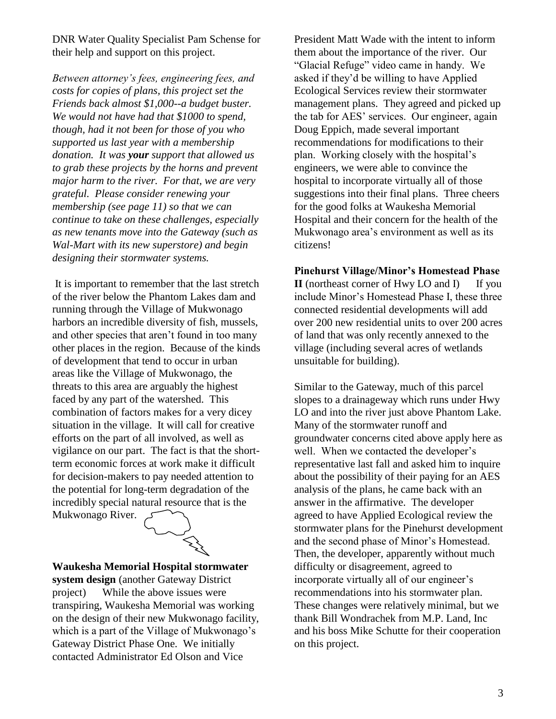DNR Water Quality Specialist Pam Schense for their help and support on this project.

*Between attorney's fees, engineering fees, and costs for copies of plans, this project set the Friends back almost \$1,000--a budget buster. We would not have had that \$1000 to spend, though, had it not been for those of you who supported us last year with a membership donation. It was your support that allowed us to grab these projects by the horns and prevent major harm to the river. For that, we are very grateful. Please consider renewing your membership (see page 11) so that we can continue to take on these challenges, especially as new tenants move into the Gateway (such as Wal-Mart with its new superstore) and begin designing their stormwater systems.* 

It is important to remember that the last stretch of the river below the Phantom Lakes dam and running through the Village of Mukwonago harbors an incredible diversity of fish, mussels, and other species that aren't found in too many other places in the region. Because of the kinds of development that tend to occur in urban areas like the Village of Mukwonago, the threats to this area are arguably the highest faced by any part of the watershed. This combination of factors makes for a very dicey situation in the village. It will call for creative efforts on the part of all involved, as well as vigilance on our part. The fact is that the shortterm economic forces at work make it difficult for decision-makers to pay needed attention to the potential for long-term degradation of the incredibly special natural resource that is the Mukwonago River.



#### **Waukesha Memorial Hospital stormwater system design** (another Gateway District

project) While the above issues were transpiring, Waukesha Memorial was working on the design of their new Mukwonago facility, which is a part of the Village of Mukwonago's Gateway District Phase One. We initially contacted Administrator Ed Olson and Vice

President Matt Wade with the intent to inform them about the importance of the river. Our "Glacial Refuge" video came in handy. We asked if they'd be willing to have Applied Ecological Services review their stormwater management plans. They agreed and picked up the tab for AES' services. Our engineer, again Doug Eppich, made several important recommendations for modifications to their plan. Working closely with the hospital's engineers, we were able to convince the hospital to incorporate virtually all of those suggestions into their final plans. Three cheers for the good folks at Waukesha Memorial Hospital and their concern for the health of the Mukwonago area's environment as well as its citizens!

**Pinehurst Village/Minor's Homestead Phase II** (northeast corner of Hwy LO and I) If you include Minor's Homestead Phase I, these three connected residential developments will add over 200 new residential units to over 200 acres of land that was only recently annexed to the village (including several acres of wetlands unsuitable for building).

Similar to the Gateway, much of this parcel slopes to a drainageway which runs under Hwy LO and into the river just above Phantom Lake. Many of the stormwater runoff and groundwater concerns cited above apply here as well. When we contacted the developer's representative last fall and asked him to inquire about the possibility of their paying for an AES analysis of the plans, he came back with an answer in the affirmative. The developer agreed to have Applied Ecological review the stormwater plans for the Pinehurst development and the second phase of Minor's Homestead. Then, the developer, apparently without much difficulty or disagreement, agreed to incorporate virtually all of our engineer's recommendations into his stormwater plan. These changes were relatively minimal, but we thank Bill Wondrachek from M.P. Land, Inc and his boss Mike Schutte for their cooperation on this project.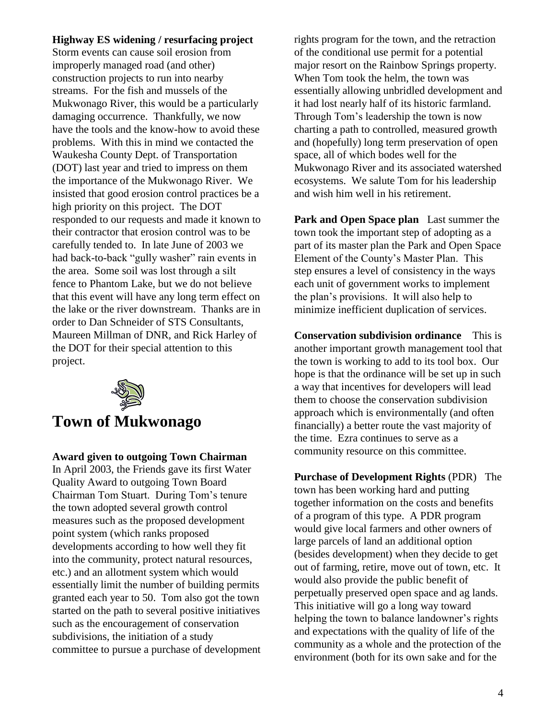#### **Highway ES widening / resurfacing project**

Storm events can cause soil erosion from improperly managed road (and other) construction projects to run into nearby streams. For the fish and mussels of the Mukwonago River, this would be a particularly damaging occurrence. Thankfully, we now have the tools and the know-how to avoid these problems. With this in mind we contacted the Waukesha County Dept. of Transportation (DOT) last year and tried to impress on them the importance of the Mukwonago River. We insisted that good erosion control practices be a high priority on this project. The DOT responded to our requests and made it known to their contractor that erosion control was to be carefully tended to. In late June of 2003 we had back-to-back "gully washer" rain events in the area. Some soil was lost through a silt fence to Phantom Lake, but we do not believe that this event will have any long term effect on the lake or the river downstream. Thanks are in order to Dan Schneider of STS Consultants, Maureen Millman of DNR, and Rick Harley of the DOT for their special attention to this project.



## **Town of Mukwonago**

**Award given to outgoing Town Chairman** 

In April 2003, the Friends gave its first Water Quality Award to outgoing Town Board Chairman Tom Stuart. During Tom's tenure the town adopted several growth control measures such as the proposed development point system (which ranks proposed developments according to how well they fit into the community, protect natural resources, etc.) and an allotment system which would essentially limit the number of building permits granted each year to 50. Tom also got the town started on the path to several positive initiatives such as the encouragement of conservation subdivisions, the initiation of a study committee to pursue a purchase of development rights program for the town, and the retraction of the conditional use permit for a potential major resort on the Rainbow Springs property. When Tom took the helm, the town was essentially allowing unbridled development and it had lost nearly half of its historic farmland. Through Tom's leadership the town is now charting a path to controlled, measured growth and (hopefully) long term preservation of open space, all of which bodes well for the Mukwonago River and its associated watershed ecosystems. We salute Tom for his leadership and wish him well in his retirement.

**Park and Open Space plan** Last summer the town took the important step of adopting as a part of its master plan the Park and Open Space Element of the County's Master Plan. This step ensures a level of consistency in the ways each unit of government works to implement the plan's provisions. It will also help to minimize inefficient duplication of services.

**Conservation subdivision ordinance** This is another important growth management tool that the town is working to add to its tool box. Our hope is that the ordinance will be set up in such a way that incentives for developers will lead them to choose the conservation subdivision approach which is environmentally (and often financially) a better route the vast majority of the time. Ezra continues to serve as a community resource on this committee.

**Purchase of Development Rights** (PDR) The town has been working hard and putting together information on the costs and benefits of a program of this type. A PDR program would give local farmers and other owners of large parcels of land an additional option (besides development) when they decide to get out of farming, retire, move out of town, etc. It would also provide the public benefit of perpetually preserved open space and ag lands. This initiative will go a long way toward helping the town to balance landowner's rights and expectations with the quality of life of the community as a whole and the protection of the environment (both for its own sake and for the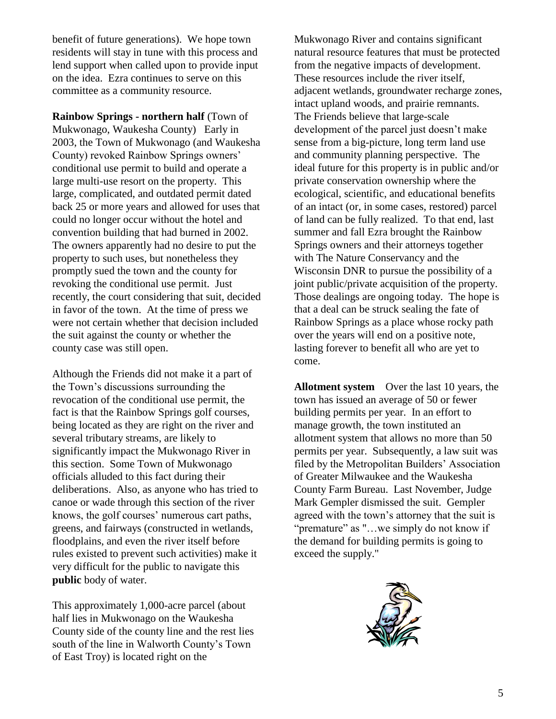benefit of future generations). We hope town residents will stay in tune with this process and lend support when called upon to provide input on the idea. Ezra continues to serve on this committee as a community resource.

**Rainbow Springs - northern half** (Town of Mukwonago, Waukesha County)Early in 2003, the Town of Mukwonago (and Waukesha County) revoked Rainbow Springs owners' conditional use permit to build and operate a large multi-use resort on the property. This large, complicated, and outdated permit dated back 25 or more years and allowed for uses that could no longer occur without the hotel and convention building that had burned in 2002. The owners apparently had no desire to put the property to such uses, but nonetheless they promptly sued the town and the county for revoking the conditional use permit. Just recently, the court considering that suit, decided in favor of the town. At the time of press we were not certain whether that decision included the suit against the county or whether the county case was still open.

Although the Friends did not make it a part of the Town's discussions surrounding the revocation of the conditional use permit, the fact is that the Rainbow Springs golf courses, being located as they are right on the river and several tributary streams, are likely to significantly impact the Mukwonago River in this section. Some Town of Mukwonago officials alluded to this fact during their deliberations. Also, as anyone who has tried to canoe or wade through this section of the river knows, the golf courses' numerous cart paths, greens, and fairways (constructed in wetlands, floodplains, and even the river itself before rules existed to prevent such activities) make it very difficult for the public to navigate this **public** body of water.

This approximately 1,000-acre parcel (about half lies in Mukwonago on the Waukesha County side of the county line and the rest lies south of the line in Walworth County's Town of East Troy) is located right on the

Mukwonago River and contains significant natural resource features that must be protected from the negative impacts of development. These resources include the river itself, adjacent wetlands, groundwater recharge zones, intact upland woods, and prairie remnants. The Friends believe that large-scale development of the parcel just doesn't make sense from a big-picture, long term land use and community planning perspective. The ideal future for this property is in public and/or private conservation ownership where the ecological, scientific, and educational benefits of an intact (or, in some cases, restored) parcel of land can be fully realized. To that end, last summer and fall Ezra brought the Rainbow Springs owners and their attorneys together with The Nature Conservancy and the Wisconsin DNR to pursue the possibility of a joint public/private acquisition of the property. Those dealings are ongoing today. The hope is that a deal can be struck sealing the fate of Rainbow Springs as a place whose rocky path over the years will end on a positive note, lasting forever to benefit all who are yet to come.

**Allotment system** Over the last 10 years, the town has issued an average of 50 or fewer building permits per year. In an effort to manage growth, the town instituted an allotment system that allows no more than 50 permits per year. Subsequently, a law suit was filed by the Metropolitan Builders' Association of Greater Milwaukee and the Waukesha County Farm Bureau. Last November, Judge Mark Gempler dismissed the suit. Gempler agreed with the town's attorney that the suit is "premature" as "…we simply do not know if the demand for building permits is going to exceed the supply."

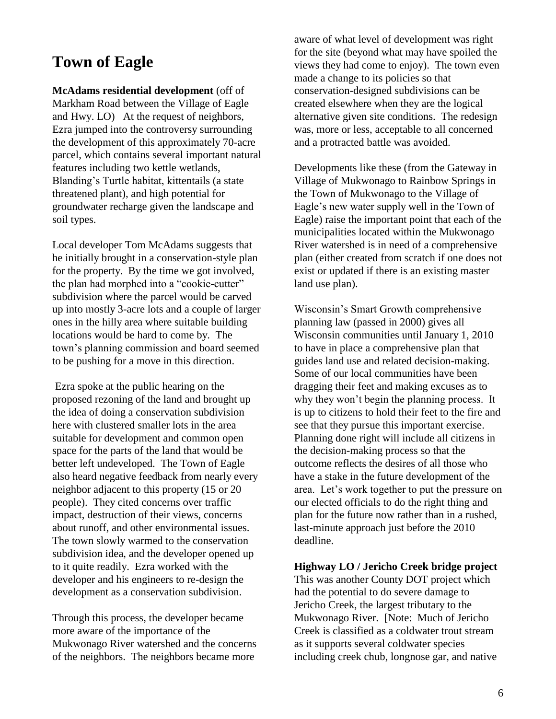### **Town of Eagle**

**McAdams residential development** (off of Markham Road between the Village of Eagle and Hwy. LO) At the request of neighbors, Ezra jumped into the controversy surrounding the development of this approximately 70-acre parcel, which contains several important natural features including two kettle wetlands, Blanding's Turtle habitat, kittentails (a state threatened plant), and high potential for groundwater recharge given the landscape and soil types.

Local developer Tom McAdams suggests that he initially brought in a conservation-style plan for the property. By the time we got involved, the plan had morphed into a "cookie-cutter" subdivision where the parcel would be carved up into mostly 3-acre lots and a couple of larger ones in the hilly area where suitable building locations would be hard to come by. The town's planning commission and board seemed to be pushing for a move in this direction.

Ezra spoke at the public hearing on the proposed rezoning of the land and brought up the idea of doing a conservation subdivision here with clustered smaller lots in the area suitable for development and common open space for the parts of the land that would be better left undeveloped. The Town of Eagle also heard negative feedback from nearly every neighbor adjacent to this property (15 or 20 people). They cited concerns over traffic impact, destruction of their views, concerns about runoff, and other environmental issues. The town slowly warmed to the conservation subdivision idea, and the developer opened up to it quite readily. Ezra worked with the developer and his engineers to re-design the development as a conservation subdivision.

Through this process, the developer became more aware of the importance of the Mukwonago River watershed and the concerns of the neighbors. The neighbors became more

aware of what level of development was right for the site (beyond what may have spoiled the views they had come to enjoy). The town even made a change to its policies so that conservation-designed subdivisions can be created elsewhere when they are the logical alternative given site conditions. The redesign was, more or less, acceptable to all concerned and a protracted battle was avoided.

Developments like these (from the Gateway in Village of Mukwonago to Rainbow Springs in the Town of Mukwonago to the Village of Eagle's new water supply well in the Town of Eagle) raise the important point that each of the municipalities located within the Mukwonago River watershed is in need of a comprehensive plan (either created from scratch if one does not exist or updated if there is an existing master land use plan).

Wisconsin's Smart Growth comprehensive planning law (passed in 2000) gives all Wisconsin communities until January 1, 2010 to have in place a comprehensive plan that guides land use and related decision-making. Some of our local communities have been dragging their feet and making excuses as to why they won't begin the planning process. It is up to citizens to hold their feet to the fire and see that they pursue this important exercise. Planning done right will include all citizens in the decision-making process so that the outcome reflects the desires of all those who have a stake in the future development of the area. Let's work together to put the pressure on our elected officials to do the right thing and plan for the future now rather than in a rushed, last-minute approach just before the 2010 deadline.

**Highway LO / Jericho Creek bridge project** This was another County DOT project which had the potential to do severe damage to Jericho Creek, the largest tributary to the Mukwonago River. [Note: Much of Jericho Creek is classified as a coldwater trout stream as it supports several coldwater species including creek chub, longnose gar, and native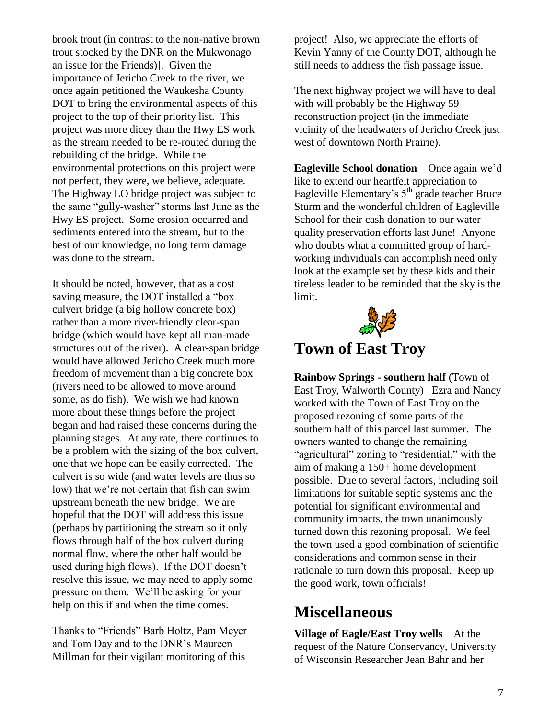brook trout (in contrast to the non-native brown trout stocked by the DNR on the Mukwonago – an issue for the Friends)]. Given the importance of Jericho Creek to the river, we once again petitioned the Waukesha County DOT to bring the environmental aspects of this project to the top of their priority list. This project was more dicey than the Hwy ES work as the stream needed to be re-routed during the rebuilding of the bridge. While the environmental protections on this project were not perfect, they were, we believe, adequate. The Highway LO bridge project was subject to the same "gully-washer" storms last June as the Hwy ES project. Some erosion occurred and sediments entered into the stream, but to the best of our knowledge, no long term damage was done to the stream.

It should be noted, however, that as a cost saving measure, the DOT installed a "box culvert bridge (a big hollow concrete box) rather than a more river-friendly clear-span bridge (which would have kept all man-made structures out of the river). A clear-span bridge would have allowed Jericho Creek much more freedom of movement than a big concrete box (rivers need to be allowed to move around some, as do fish). We wish we had known more about these things before the project began and had raised these concerns during the planning stages. At any rate, there continues to be a problem with the sizing of the box culvert, one that we hope can be easily corrected. The culvert is so wide (and water levels are thus so low) that we're not certain that fish can swim upstream beneath the new bridge. We are hopeful that the DOT will address this issue (perhaps by partitioning the stream so it only flows through half of the box culvert during normal flow, where the other half would be used during high flows). If the DOT doesn't resolve this issue, we may need to apply some pressure on them. We'll be asking for your help on this if and when the time comes.

Thanks to "Friends" Barb Holtz, Pam Meyer and Tom Day and to the DNR's Maureen Millman for their vigilant monitoring of this

project! Also, we appreciate the efforts of Kevin Yanny of the County DOT, although he still needs to address the fish passage issue.

The next highway project we will have to deal with will probably be the Highway 59 reconstruction project (in the immediate vicinity of the headwaters of Jericho Creek just west of downtown North Prairie).

**Eagleville School donation** Once again we'd like to extend our heartfelt appreciation to Eagleville Elementary's  $5<sup>th</sup>$  grade teacher Bruce Sturm and the wonderful children of Eagleville School for their cash donation to our water quality preservation efforts last June! Anyone who doubts what a committed group of hardworking individuals can accomplish need only look at the example set by these kids and their tireless leader to be reminded that the sky is the limit.



## **Town of East Troy**

**Rainbow Springs - southern half** (Town of East Troy, Walworth County) Ezra and Nancy worked with the Town of East Troy on the proposed rezoning of some parts of the southern half of this parcel last summer. The owners wanted to change the remaining "agricultural" zoning to "residential," with the aim of making a 150+ home development possible. Due to several factors, including soil limitations for suitable septic systems and the potential for significant environmental and community impacts, the town unanimously turned down this rezoning proposal. We feel the town used a good combination of scientific considerations and common sense in their rationale to turn down this proposal. Keep up the good work, town officials!

## **Miscellaneous**

**Village of Eagle/East Troy wells** At the request of the Nature Conservancy, University of Wisconsin Researcher Jean Bahr and her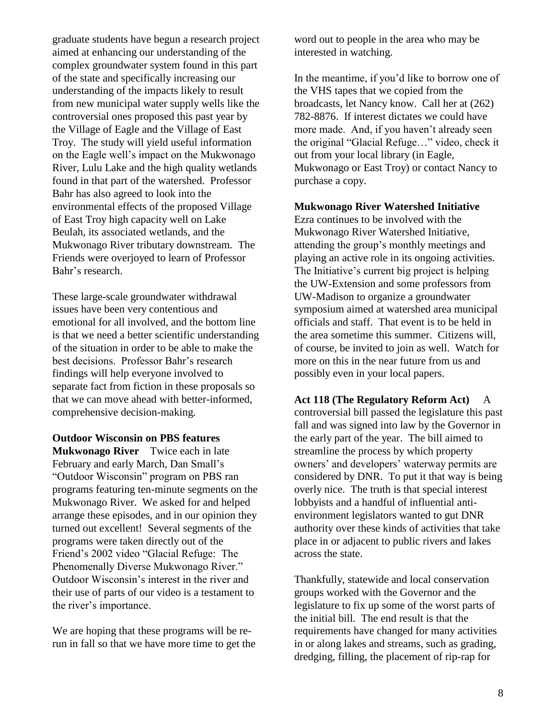graduate students have begun a research project aimed at enhancing our understanding of the complex groundwater system found in this part of the state and specifically increasing our understanding of the impacts likely to result from new municipal water supply wells like the controversial ones proposed this past year by the Village of Eagle and the Village of East Troy. The study will yield useful information on the Eagle well's impact on the Mukwonago River, Lulu Lake and the high quality wetlands found in that part of the watershed. Professor Bahr has also agreed to look into the environmental effects of the proposed Village of East Troy high capacity well on Lake Beulah, its associated wetlands, and the Mukwonago River tributary downstream. The Friends were overjoyed to learn of Professor Bahr's research.

These large-scale groundwater withdrawal issues have been very contentious and emotional for all involved, and the bottom line is that we need a better scientific understanding of the situation in order to be able to make the best decisions. Professor Bahr's research findings will help everyone involved to separate fact from fiction in these proposals so that we can move ahead with better-informed, comprehensive decision-making.

#### **Outdoor Wisconsin on PBS features**

**Mukwonago River** Twice each in late February and early March, Dan Small's "Outdoor Wisconsin" program on PBS ran programs featuring ten-minute segments on the Mukwonago River. We asked for and helped arrange these episodes, and in our opinion they turned out excellent! Several segments of the programs were taken directly out of the Friend's 2002 video "Glacial Refuge: The Phenomenally Diverse Mukwonago River." Outdoor Wisconsin's interest in the river and their use of parts of our video is a testament to the river's importance.

We are hoping that these programs will be rerun in fall so that we have more time to get the word out to people in the area who may be interested in watching.

In the meantime, if you'd like to borrow one of the VHS tapes that we copied from the broadcasts, let Nancy know. Call her at (262) 782-8876. If interest dictates we could have more made. And, if you haven't already seen the original "Glacial Refuge…" video, check it out from your local library (in Eagle, Mukwonago or East Troy) or contact Nancy to purchase a copy.

#### **Mukwonago River Watershed Initiative**

Ezra continues to be involved with the Mukwonago River Watershed Initiative, attending the group's monthly meetings and playing an active role in its ongoing activities. The Initiative's current big project is helping the UW-Extension and some professors from UW-Madison to organize a groundwater symposium aimed at watershed area municipal officials and staff. That event is to be held in the area sometime this summer. Citizens will, of course, be invited to join as well. Watch for more on this in the near future from us and possibly even in your local papers.

#### **Act 118 (The Regulatory Reform Act)** A controversial bill passed the legislature this past fall and was signed into law by the Governor in

the early part of the year. The bill aimed to streamline the process by which property owners' and developers' waterway permits are considered by DNR. To put it that way is being overly nice. The truth is that special interest lobbyists and a handful of influential antienvironment legislators wanted to gut DNR authority over these kinds of activities that take place in or adjacent to public rivers and lakes across the state.

Thankfully, statewide and local conservation groups worked with the Governor and the legislature to fix up some of the worst parts of the initial bill. The end result is that the requirements have changed for many activities in or along lakes and streams, such as grading, dredging, filling, the placement of rip-rap for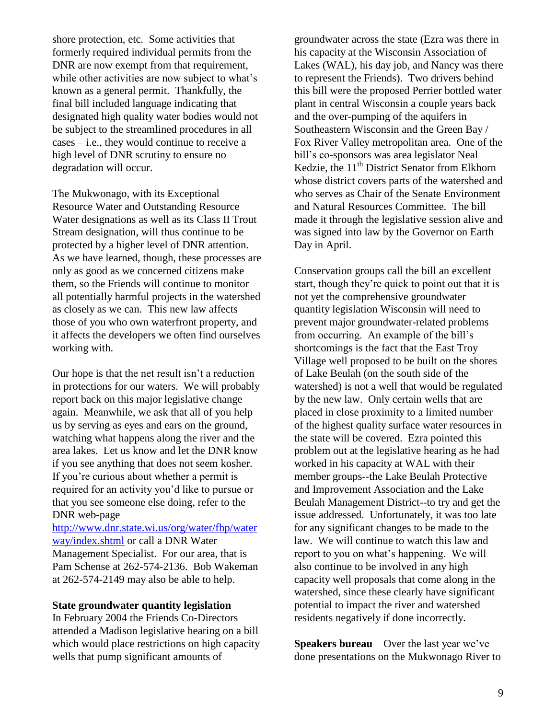shore protection, etc. Some activities that formerly required individual permits from the DNR are now exempt from that requirement, while other activities are now subject to what's known as a general permit. Thankfully, the final bill included language indicating that designated high quality water bodies would not be subject to the streamlined procedures in all cases – i.e., they would continue to receive a high level of DNR scrutiny to ensure no degradation will occur.

The Mukwonago, with its Exceptional Resource Water and Outstanding Resource Water designations as well as its Class II Trout Stream designation, will thus continue to be protected by a higher level of DNR attention. As we have learned, though, these processes are only as good as we concerned citizens make them, so the Friends will continue to monitor all potentially harmful projects in the watershed as closely as we can. This new law affects those of you who own waterfront property, and it affects the developers we often find ourselves working with.

Our hope is that the net result isn't a reduction in protections for our waters. We will probably report back on this major legislative change again. Meanwhile, we ask that all of you help us by serving as eyes and ears on the ground, watching what happens along the river and the area lakes. Let us know and let the DNR know if you see anything that does not seem kosher. If you're curious about whether a permit is required for an activity you'd like to pursue or that you see someone else doing, refer to the DNR web-page

[http://www.dnr.state.wi.us/org/water/fhp/water](http://www.dnr.state.wi.us/org/water/fhp/waterway/index.shtml) [way/index.shtml](http://www.dnr.state.wi.us/org/water/fhp/waterway/index.shtml) or call a DNR Water Management Specialist. For our area, that is Pam Schense at 262-574-2136. Bob Wakeman at 262-574-2149 may also be able to help.

#### **State groundwater quantity legislation**

In February 2004 the Friends Co-Directors attended a Madison legislative hearing on a bill which would place restrictions on high capacity wells that pump significant amounts of

groundwater across the state (Ezra was there in his capacity at the Wisconsin Association of Lakes (WAL), his day job, and Nancy was there to represent the Friends). Two drivers behind this bill were the proposed Perrier bottled water plant in central Wisconsin a couple years back and the over-pumping of the aquifers in Southeastern Wisconsin and the Green Bay / Fox River Valley metropolitan area. One of the bill's co-sponsors was area legislator Neal Kedzie, the 11<sup>th</sup> District Senator from Elkhorn whose district covers parts of the watershed and who serves as Chair of the Senate Environment and Natural Resources Committee. The bill made it through the legislative session alive and was signed into law by the Governor on Earth Day in April.

Conservation groups call the bill an excellent start, though they're quick to point out that it is not yet the comprehensive groundwater quantity legislation Wisconsin will need to prevent major groundwater-related problems from occurring. An example of the bill's shortcomings is the fact that the East Troy Village well proposed to be built on the shores of Lake Beulah (on the south side of the watershed) is not a well that would be regulated by the new law. Only certain wells that are placed in close proximity to a limited number of the highest quality surface water resources in the state will be covered. Ezra pointed this problem out at the legislative hearing as he had worked in his capacity at WAL with their member groups--the Lake Beulah Protective and Improvement Association and the Lake Beulah Management District--to try and get the issue addressed. Unfortunately, it was too late for any significant changes to be made to the law. We will continue to watch this law and report to you on what's happening. We will also continue to be involved in any high capacity well proposals that come along in the watershed, since these clearly have significant potential to impact the river and watershed residents negatively if done incorrectly.

**Speakers bureau** Over the last year we've done presentations on the Mukwonago River to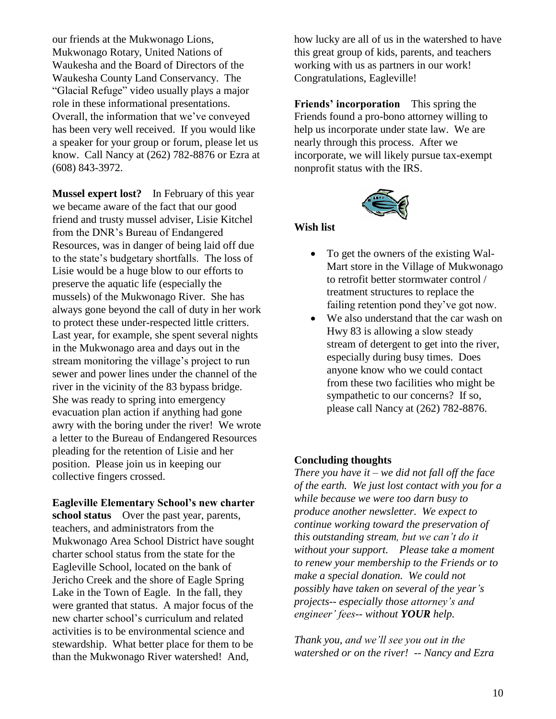our friends at the Mukwonago Lions, Mukwonago Rotary, United Nations of Waukesha and the Board of Directors of the Waukesha County Land Conservancy. The "Glacial Refuge" video usually plays a major role in these informational presentations. Overall, the information that we've conveyed has been very well received. If you would like a speaker for your group or forum, please let us know. Call Nancy at (262) 782-8876 or Ezra at (608) 843-3972.

**Mussel expert lost?** In February of this year we became aware of the fact that our good friend and trusty mussel adviser, Lisie Kitchel from the DNR's Bureau of Endangered Resources, was in danger of being laid off due to the state's budgetary shortfalls. The loss of Lisie would be a huge blow to our efforts to preserve the aquatic life (especially the mussels) of the Mukwonago River. She has always gone beyond the call of duty in her work to protect these under-respected little critters. Last year, for example, she spent several nights in the Mukwonago area and days out in the stream monitoring the village's project to run sewer and power lines under the channel of the river in the vicinity of the 83 bypass bridge. She was ready to spring into emergency evacuation plan action if anything had gone awry with the boring under the river! We wrote a letter to the Bureau of Endangered Resources pleading for the retention of Lisie and her position. Please join us in keeping our collective fingers crossed.

**Eagleville Elementary School's new charter school status** Over the past year, parents, teachers, and administrators from the Mukwonago Area School District have sought charter school status from the state for the Eagleville School, located on the bank of Jericho Creek and the shore of Eagle Spring Lake in the Town of Eagle. In the fall, they were granted that status. A major focus of the new charter school's curriculum and related activities is to be environmental science and stewardship. What better place for them to be than the Mukwonago River watershed! And,

how lucky are all of us in the watershed to have this great group of kids, parents, and teachers working with us as partners in our work! Congratulations, Eagleville!

**Friends' incorporation** This spring the Friends found a pro-bono attorney willing to help us incorporate under state law. We are nearly through this process. After we incorporate, we will likely pursue tax-exempt nonprofit status with the IRS.



#### **Wish list**

- To get the owners of the existing Wal-Mart store in the Village of Mukwonago to retrofit better stormwater control / treatment structures to replace the failing retention pond they've got now.
- We also understand that the car wash on Hwy 83 is allowing a slow steady stream of detergent to get into the river, especially during busy times. Does anyone know who we could contact from these two facilities who might be sympathetic to our concerns? If so, please call Nancy at (262) 782-8876.

#### **Concluding thoughts**

*There you have it – we did not fall off the face of the earth. We just lost contact with you for a while because we were too darn busy to produce another newsletter. We expect to continue working toward the preservation of this outstanding stream, but we can't do it without your support. Please take a moment to renew your membership to the Friends or to make a special donation. We could not possibly have taken on several of the year's projects-- especially those attorney's and engineer' fees-- without YOUR help.* 

*Thank you, and we'll see you out in the watershed or on the river! -- Nancy and Ezra*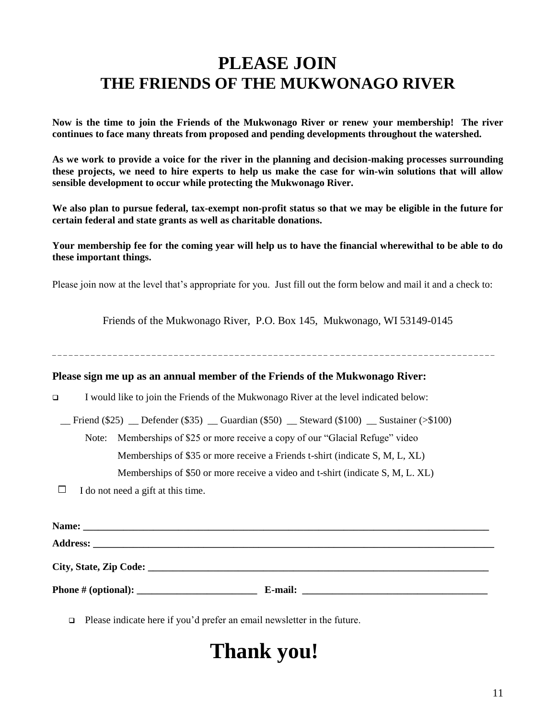## **PLEASE JOIN THE FRIENDS OF THE MUKWONAGO RIVER**

**Now is the time to join the Friends of the Mukwonago River or renew your membership! The river continues to face many threats from proposed and pending developments throughout the watershed.** 

**As we work to provide a voice for the river in the planning and decision-making processes surrounding these projects, we need to hire experts to help us make the case for win-win solutions that will allow sensible development to occur while protecting the Mukwonago River.** 

**We also plan to pursue federal, tax-exempt non-profit status so that we may be eligible in the future for certain federal and state grants as well as charitable donations.** 

**Your membership fee for the coming year will help us to have the financial wherewithal to be able to do these important things.** 

Please join now at the level that's appropriate for you. Just fill out the form below and mail it and a check to:

Friends of the Mukwonago River, P.O. Box 145, Mukwonago, WI 53149-0145

\_ \_ \_ \_ \_ \_ \_ \_ \_ \_ \_ \_ \_ \_ \_ \_ \_ \_ \_ \_ \_ \_ \_ \_ \_ \_ \_ \_ \_ \_ \_ \_ \_ \_ \_ \_ \_ \_ \_ \_ \_ \_ \_ \_ \_ \_ \_ \_ \_ \_ \_ \_ \_ \_ \_ \_ \_ \_ \_ \_ \_ \_ \_ \_ \_ \_ \_ \_ \_ \_ \_ \_ \_ \_ \_ \_ \_ \_ \_ \_

#### **Please sign me up as an annual member of the Friends of the Mukwonago River:**

I would like to join the Friends of the Mukwonago River at the level indicated below:

Friend  $(\$25)$  Defender  $(\$35)$  Guardian  $(\$50)$  Steward  $(\$100)$  Sustainer (> $\$100$ )

Note: Memberships of \$25 or more receive a copy of our "Glacial Refuge" video

Memberships of \$35 or more receive a Friends t-shirt (indicate S, M, L, XL)

Memberships of \$50 or more receive a video and t-shirt (indicate S, M, L. XL)

 $\Box$  I do not need a gift at this time.

| Name:                  |                                                                                                                                 |
|------------------------|---------------------------------------------------------------------------------------------------------------------------------|
|                        |                                                                                                                                 |
| City, State, Zip Code: |                                                                                                                                 |
|                        | E-mail:<br><u> 1989 - Andrea State Barbara, amerikan personal di sebagai personal di sebagai personal di sebagai personal d</u> |

□ Please indicate here if you'd prefer an email newsletter in the future.

## **Thank you!**